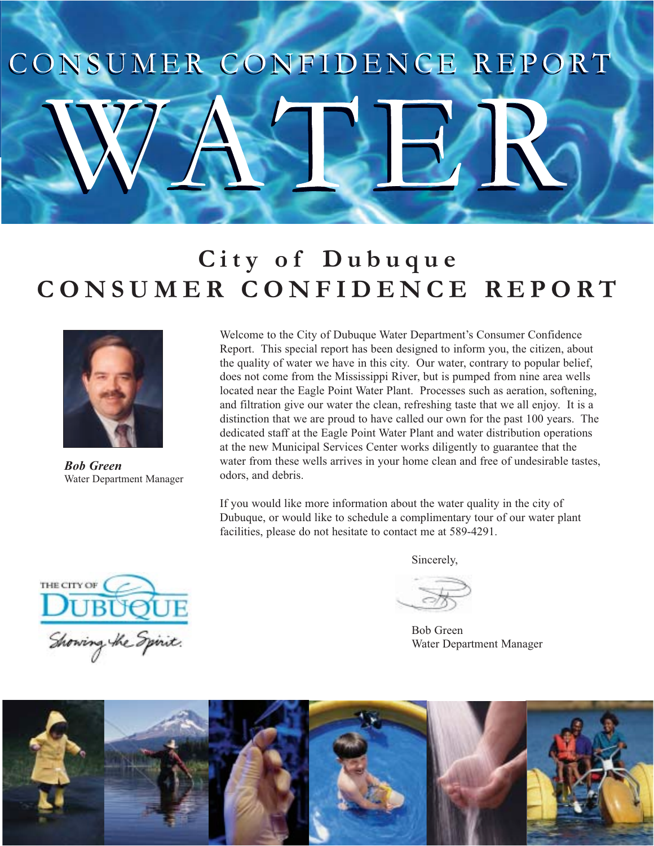# CONSUMER CONFIDENCE REPORT

## **City of Dubuque CONSUMER CONFIDENCE REPORT**



*Bob Green* Water Department Manager

Welcome to the City of Dubuque Water Department's Consumer Confidence Report. This special report has been designed to inform you, the citizen, about the quality of water we have in this city. Our water, contrary to popular belief, does not come from the Mississippi River, but is pumped from nine area wells located near the Eagle Point Water Plant. Processes such as aeration, softening, and filtration give our water the clean, refreshing taste that we all enjoy. It is a distinction that we are proud to have called our own for the past 100 years. The dedicated staff at the Eagle Point Water Plant and water distribution operations at the new Municipal Services Center works diligently to guarantee that the water from these wells arrives in your home clean and free of undesirable tastes, odors, and debris.

If you would like more information about the water quality in the city of Dubuque, or would like to schedule a complimentary tour of our water plant facilities, please do not hesitate to contact me at 589-4291.

Sincerely,

 Bob Green Water Department Manager



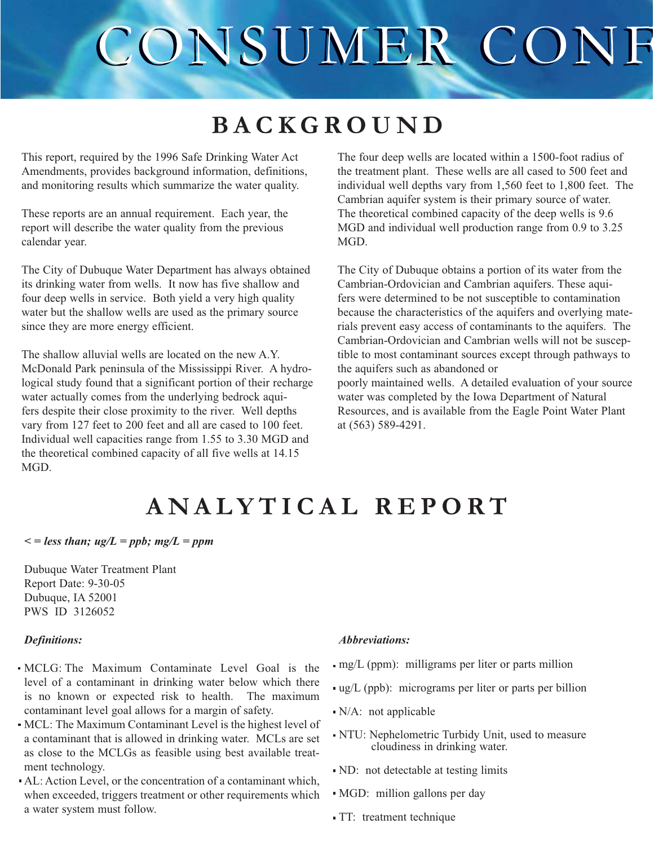## CONSUMER CONF

## **BACKGROUND**

This report, required by the 1996 Safe Drinking Water Act Amendments, provides background information, definitions, and monitoring results which summarize the water quality.

These reports are an annual requirement. Each year, the report will describe the water quality from the previous calendar year.

The City of Dubuque Water Department has always obtained its drinking water from wells. It now has five shallow and four deep wells in service. Both yield a very high quality water but the shallow wells are used as the primary source since they are more energy efficient.

The shallow alluvial wells are located on the new A.Y. McDonald Park peninsula of the Mississippi River. A hydrological study found that a significant portion of their recharge water actually comes from the underlying bedrock aquifers despite their close proximity to the river. Well depths vary from 127 feet to 200 feet and all are cased to 100 feet. Individual well capacities range from 1.55 to 3.30 MGD and the theoretical combined capacity of all five wells at 14.15 MGD.

The four deep wells are located within a 1500-foot radius of the treatment plant. These wells are all cased to 500 feet and individual well depths vary from 1,560 feet to 1,800 feet. The Cambrian aquifer system is their primary source of water. The theoretical combined capacity of the deep wells is 9.6 MGD and individual well production range from 0.9 to 3.25 MGD.

The City of Dubuque obtains a portion of its water from the Cambrian-Ordovician and Cambrian aquifers. These aquifers were determined to be not susceptible to contamination because the characteristics of the aquifers and overlying materials prevent easy access of contaminants to the aquifers. The Cambrian-Ordovician and Cambrian wells will not be susceptible to most contaminant sources except through pathways to the aquifers such as abandoned or poorly maintained wells. A detailed evaluation of your source water was completed by the Iowa Department of Natural Resources, and is available from the Eagle Point Water Plant at (563) 589-4291.

## **ANALYTICAL REPORT**

 $\epsilon$  = less than; ug/L = ppb; mg/L = ppm

Dubuque Water Treatment Plant Report Date: 9-30-05 Dubuque, IA 52001 PWS ID 3126052

### *Definitions:*

- MCLG: The Maximum Contaminate Level Goal is the level of a contaminant in drinking water below which there is no known or expected risk to health. The maximum contaminant level goal allows for a margin of safety.
- MCL: The Maximum Contaminant Level is the highest level of a contaminant that is allowed in drinking water. MCLs are set as close to the MCLGs as feasible using best available treatment technology.
- AL: Action Level, or the concentration of a contaminant which, when exceeded, triggers treatment or other requirements which a water system must follow.

#### Abbreviations:

- mg/L (ppm): milligrams per liter or parts million
- ug/L (ppb): micrograms per liter or parts per billion
- $\blacksquare$  N/A: not applicable
- NTU: Nephelometric Turbidy Unit, used to measure cloudiness in drinking water.
- ND: not detectable at testing limits
- MGD: million gallons per day
- TT: treatment technique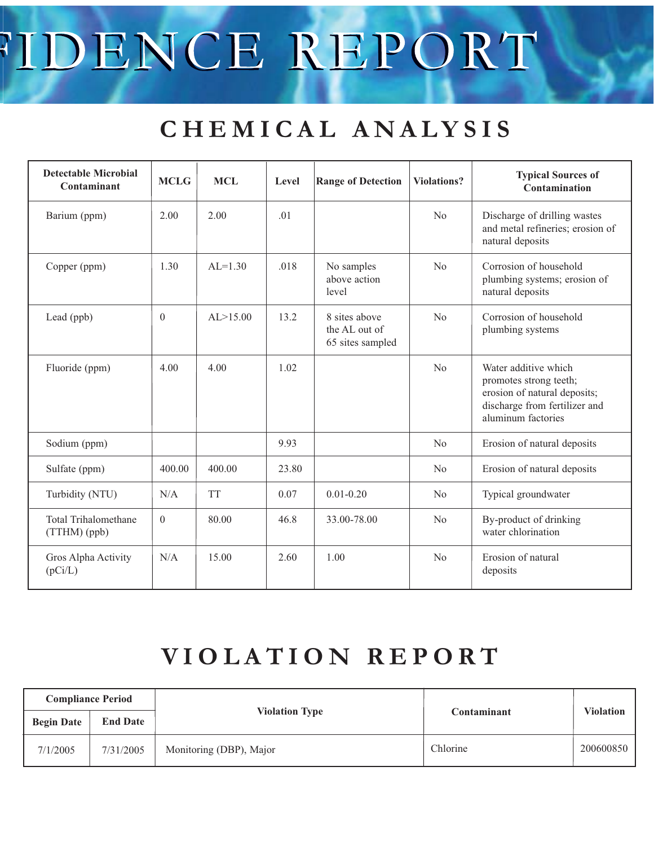# TDENCE REPORT

## **CHEMICAL ANALYSIS**

| <b>Detectable Microbial</b><br>Contaminant  | <b>MCLG</b> | <b>MCL</b>  | Level | <b>Range of Detection</b>                          | Violations?    | <b>Typical Sources of</b><br>Contamination                                                                                            |  |
|---------------------------------------------|-------------|-------------|-------|----------------------------------------------------|----------------|---------------------------------------------------------------------------------------------------------------------------------------|--|
| Barium (ppm)                                | 2.00        | 2.00        | .01   |                                                    | N <sub>o</sub> | Discharge of drilling wastes<br>and metal refineries; erosion of<br>natural deposits                                                  |  |
| Copper (ppm)                                | 1.30        | $AI = 1.30$ | .018  | No samples<br>above action<br>level                | No             | Corrosion of household<br>plumbing systems; erosion of<br>natural deposits                                                            |  |
| Lead (ppb)                                  | $\Omega$    | AL > 15.00  | 13.2  | 8 sites above<br>the AL out of<br>65 sites sampled | No             | Corrosion of household<br>plumbing systems                                                                                            |  |
| Fluoride (ppm)                              | 4.00        | 4.00        | 1.02  |                                                    | N <sub>o</sub> | Water additive which<br>promotes strong teeth;<br>erosion of natural deposits;<br>discharge from fertilizer and<br>aluminum factories |  |
| Sodium (ppm)                                |             |             | 9.93  |                                                    | No             | Erosion of natural deposits                                                                                                           |  |
| Sulfate (ppm)                               | 400.00      | 400.00      | 23.80 |                                                    | N <sub>o</sub> | Erosion of natural deposits                                                                                                           |  |
| Turbidity (NTU)                             | N/A         | <b>TT</b>   | 0.07  | $0.01 - 0.20$                                      | No             | Typical groundwater                                                                                                                   |  |
| <b>Total Trihalomethane</b><br>(TTHM) (ppb) | $\theta$    | 80.00       | 46.8  | 33.00-78.00                                        | N <sub>o</sub> | By-product of drinking<br>water chlorination                                                                                          |  |
| Gros Alpha Activity<br>(pCi/L)              | N/A         | 15.00       | 2.60  | 1.00                                               | N <sub>o</sub> | Erosion of natural<br>deposits                                                                                                        |  |

## **VIOLATION REPORT**

| <b>Compliance Period</b> |                 |                         |             |           |
|--------------------------|-----------------|-------------------------|-------------|-----------|
| <b>Begin Date</b>        | <b>End Date</b> | <b>Violation Type</b>   | Contaminant | Violation |
| 7/1/2005                 | 7/31/2005       | Monitoring (DBP), Major | Chlorine    | 200600850 |